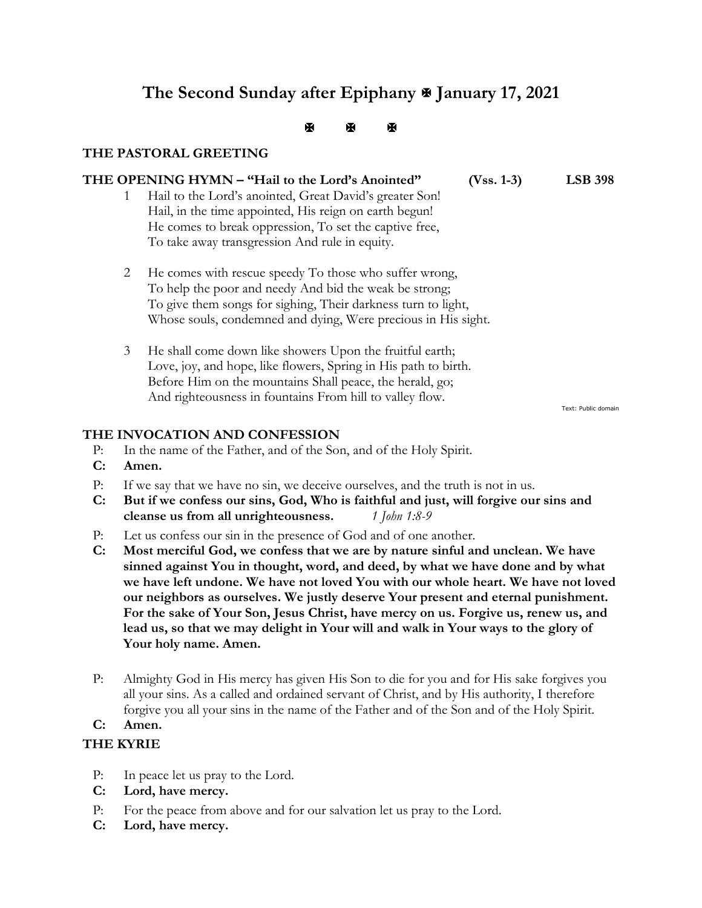# **The Second Sunday after Epiphany January 17, 2021**

 $\mathbb{R}$   $\mathbb{R}$   $\mathbb{R}$ 

# **THE PASTORAL GREETING**

## **THE OPENING HYMN – "Hail to the Lord's Anointed" (Vss. 1-3) LSB 398**

- 1 Hail to the Lord's anointed, Great David's greater Son! Hail, in the time appointed, His reign on earth begun! He comes to break oppression, To set the captive free, To take away transgression And rule in equity.
- 2 He comes with rescue speedy To those who suffer wrong, To help the poor and needy And bid the weak be strong; To give them songs for sighing, Their darkness turn to light, Whose souls, condemned and dying, Were precious in His sight.
- 3 He shall come down like showers Upon the fruitful earth; Love, joy, and hope, like flowers, Spring in His path to birth. Before Him on the mountains Shall peace, the herald, go; And righteousness in fountains From hill to valley flow.

Text: Public domain

# **THE INVOCATION AND CONFESSION**

- P: In the name of the Father, and of the Son, and of the Holy Spirit.
- **C: Amen.**
- P: If we say that we have no sin, we deceive ourselves, and the truth is not in us.
- **C: But if we confess our sins, God, Who is faithful and just, will forgive our sins and cleanse us from all unrighteousness.** *1 John 1:8-9*
- P: Let us confess our sin in the presence of God and of one another.
- **C: Most merciful God, we confess that we are by nature sinful and unclean. We have sinned against You in thought, word, and deed, by what we have done and by what we have left undone. We have not loved You with our whole heart. We have not loved our neighbors as ourselves. We justly deserve Your present and eternal punishment. For the sake of Your Son, Jesus Christ, have mercy on us. Forgive us, renew us, and lead us, so that we may delight in Your will and walk in Your ways to the glory of Your holy name. Amen.**
- P: Almighty God in His mercy has given His Son to die for you and for His sake forgives you all your sins. As a called and ordained servant of Christ, and by His authority, I therefore forgive you all your sins in the name of the Father and of the Son and of the Holy Spirit.

# **C: Amen.**

# **THE KYRIE**

- P: In peace let us pray to the Lord.
- **C: Lord, have mercy.**
- P: For the peace from above and for our salvation let us pray to the Lord.
- **C: Lord, have mercy.**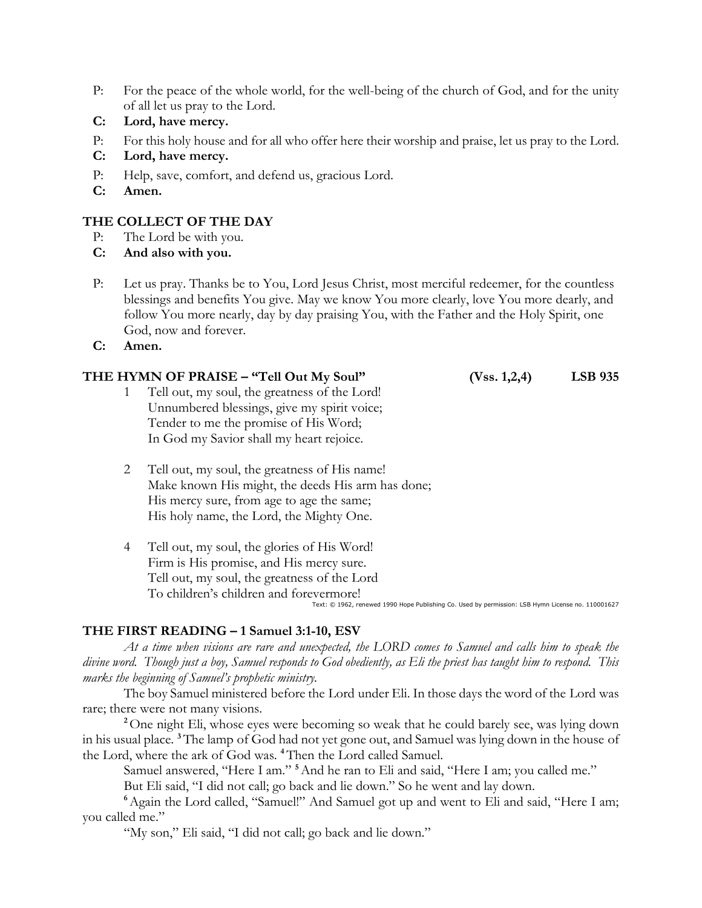- P: For the peace of the whole world, for the well-being of the church of God, and for the unity of all let us pray to the Lord.
- **C: Lord, have mercy.**
- P: For this holy house and for all who offer here their worship and praise, let us pray to the Lord.
- **C: Lord, have mercy.**
- P: Help, save, comfort, and defend us, gracious Lord.
- **C: Amen.**

## **THE COLLECT OF THE DAY**

- P: The Lord be with you.
- **C: And also with you.**
- P: Let us pray. Thanks be to You, Lord Jesus Christ, most merciful redeemer, for the countless blessings and benefits You give. May we know You more clearly, love You more dearly, and follow You more nearly, day by day praising You, with the Father and the Holy Spirit, one God, now and forever.
- **C: Amen.**

#### **THE HYMN OF PRAISE – "Tell Out My Soul" (Vss. 1,2,4) LSB 935**

- 1 Tell out, my soul, the greatness of the Lord! Unnumbered blessings, give my spirit voice; Tender to me the promise of His Word; In God my Savior shall my heart rejoice.
- 2 Tell out, my soul, the greatness of His name! Make known His might, the deeds His arm has done; His mercy sure, from age to age the same; His holy name, the Lord, the Mighty One.
- 4 Tell out, my soul, the glories of His Word! Firm is His promise, and His mercy sure. Tell out, my soul, the greatness of the Lord To children's children and forevermore! Text: © 1962, renewed 1990 Hope Publishing Co. Used by permission: LSB Hymn License no. 110001627

## **THE FIRST READING – 1 Samuel 3:1-10, ESV**

*At a time when visions are rare and unexpected, the LORD comes to Samuel and calls him to speak the divine word. Though just a boy, Samuel responds to God obediently, as Eli the priest has taught him to respond. This marks the beginning of Samuel's prophetic ministry.*

The boy Samuel ministered before the Lord under Eli. In those days the word of the Lord was rare; there were not many visions.

<sup>2</sup>One night Eli, whose eyes were becoming so weak that he could barely see, was lying down in his usual place. **<sup>3</sup>**The lamp of God had not yet gone out, and Samuel was lying down in the house of the Lord, where the ark of God was. **<sup>4</sup>**Then the Lord called Samuel.

Samuel answered, "Here I am." **<sup>5</sup>**And he ran to Eli and said, "Here I am; you called me."

But Eli said, "I did not call; go back and lie down." So he went and lay down.

**<sup>6</sup>**Again the Lord called, "Samuel!" And Samuel got up and went to Eli and said, "Here I am; you called me."

"My son," Eli said, "I did not call; go back and lie down."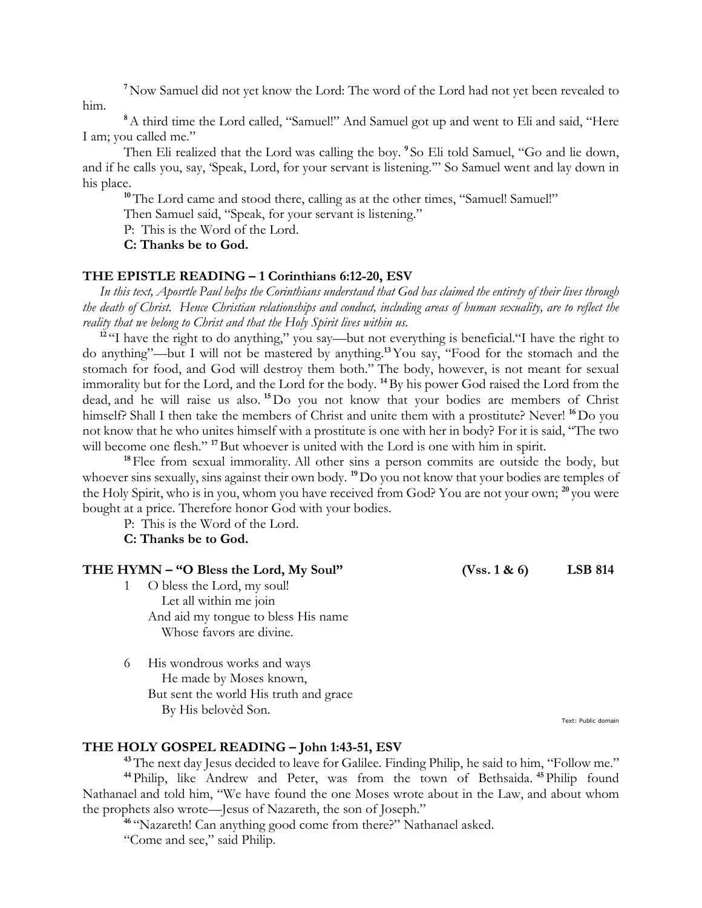**<sup>7</sup>**Now Samuel did not yet know the Lord: The word of the Lord had not yet been revealed to him.

**<sup>8</sup>**A third time the Lord called, "Samuel!" And Samuel got up and went to Eli and said, "Here I am; you called me."

Then Eli realized that the Lord was calling the boy. **<sup>9</sup>** So Eli told Samuel, "Go and lie down, and if he calls you, say, 'Speak, Lord, for your servant is listening.'" So Samuel went and lay down in his place.

**<sup>10</sup>**The Lord came and stood there, calling as at the other times, "Samuel! Samuel!"

Then Samuel said, "Speak, for your servant is listening."

P: This is the Word of the Lord.

**C: Thanks be to God.**

#### **THE EPISTLE READING – 1 Corinthians 6:12-20, ESV**

 *In this text, Aposrtle Paul helps the Corinthians understand that God has claimed the entirety of their lives through the death of Christ. Hence Christian relationships and conduct, including areas of human sexuality, are to reflect the reality that we belong to Christ and that the Holy Spirit lives within us.*

<sup>12</sup> "I have the right to do anything," you say—but not everything is beneficial."I have the right to do anything"—but I will not be mastered by anything.**<sup>13</sup>**You say, "Food for the stomach and the stomach for food, and God will destroy them both." The body, however, is not meant for sexual immorality but for the Lord, and the Lord for the body. **<sup>14</sup>**By his power God raised the Lord from the dead, and he will raise us also. **<sup>15</sup>**Do you not know that your bodies are members of Christ himself? Shall I then take the members of Christ and unite them with a prostitute? Never! <sup>16</sup> Do you not know that he who unites himself with a prostitute is one with her in body? For it is said, "The two will become one flesh."<sup>17</sup>But whoever is united with the Lord is one with him in spirit.

<sup>18</sup> Flee from sexual immorality. All other sins a person commits are outside the body, but whoever sins sexually, sins against their own body. **<sup>19</sup>**Do you not know that your bodies are temples of the Holy Spirit, who is in you, whom you have received from God? You are not your own; **<sup>20</sup>** you were bought at a price. Therefore honor God with your bodies.

P: This is the Word of the Lord.

#### **C: Thanks be to God.**

#### **THE HYMN – "O Bless the Lord, My Soul" (Vss. 1 & 6) LSB 814**

- 1 O bless the Lord, my soul! Let all within me join And aid my tongue to bless His name Whose favors are divine.
- 6 His wondrous works and ways He made by Moses known, But sent the world His truth and grace By His belovèd Son.

Text: Public domain

#### **THE HOLY GOSPEL READING – John 1:43-51, ESV**

<sup>43</sup>The next day Jesus decided to leave for Galilee. Finding Philip, he said to him, "Follow me." **<sup>44</sup>** Philip, like Andrew and Peter, was from the town of Bethsaida. **<sup>45</sup>** Philip found Nathanael and told him, "We have found the one Moses wrote about in the Law, and about whom the prophets also wrote—Jesus of Nazareth, the son of Joseph."

<sup>46</sup> "Nazareth! Can anything good come from there?" Nathanael asked.

"Come and see," said Philip.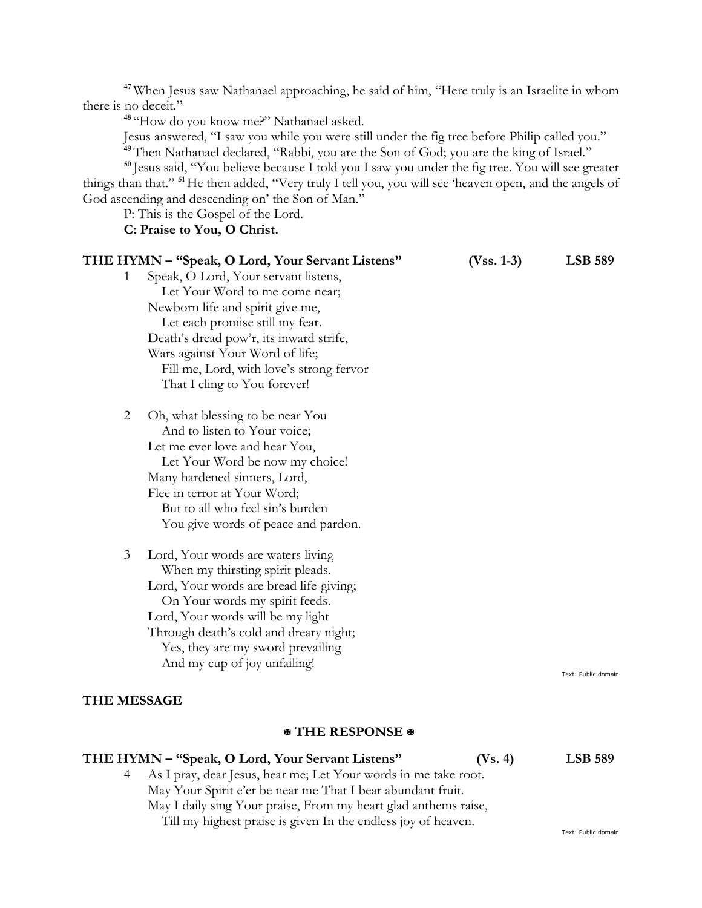**<sup>47</sup>** When Jesus saw Nathanael approaching, he said of him, "Here truly is an Israelite in whom there is no deceit."

**48** "How do you know me?" Nathanael asked.

Jesus answered, "I saw you while you were still under the fig tree before Philip called you." **<sup>49</sup>**Then Nathanael declared, "Rabbi, you are the Son of God; you are the king of Israel."

**<sup>50</sup>** Jesus said, "You believe because I told you I saw you under the fig tree. You will see greater things than that." **<sup>51</sup>**He then added, "Very truly I tell you, you will see 'heaven open, and the angels of God ascending and descending on' the Son of Man."

P: This is the Gospel of the Lord.

# **C: Praise to You, O Christ.**

| THE HYMN - "Speak, O Lord, Your Servant Listens"   | $(Vss. 1-3)$ | <b>LSB 589</b>      |
|----------------------------------------------------|--------------|---------------------|
| Speak, O Lord, Your servant listens,<br>1          |              |                     |
| Let Your Word to me come near;                     |              |                     |
| Newborn life and spirit give me,                   |              |                     |
| Let each promise still my fear.                    |              |                     |
| Death's dread pow'r, its inward strife,            |              |                     |
| Wars against Your Word of life;                    |              |                     |
| Fill me, Lord, with love's strong fervor           |              |                     |
| That I cling to You forever!                       |              |                     |
| $\overline{2}$<br>Oh, what blessing to be near You |              |                     |
| And to listen to Your voice;                       |              |                     |
| Let me ever love and hear You,                     |              |                     |
| Let Your Word be now my choice!                    |              |                     |
| Many hardened sinners, Lord,                       |              |                     |
| Flee in terror at Your Word;                       |              |                     |
| But to all who feel sin's burden                   |              |                     |
| You give words of peace and pardon.                |              |                     |
| 3<br>Lord, Your words are waters living            |              |                     |
| When my thirsting spirit pleads.                   |              |                     |
| Lord, Your words are bread life-giving;            |              |                     |
| On Your words my spirit feeds.                     |              |                     |
| Lord, Your words will be my light                  |              |                     |
| Through death's cold and dreary night;             |              |                     |
| Yes, they are my sword prevailing                  |              |                     |
| And my cup of joy unfailing!                       |              |                     |
|                                                    |              | Text: Public domain |
| <b>THE MESSAGE</b>                                 |              |                     |

#### **THE RESPONSE**

# **THE HYMN – "Speak, O Lord, Your Servant Listens" (Vs. 4) LSB 589** 4 As I pray, dear Jesus, hear me; Let Your words in me take root. May Your Spirit e'er be near me That I bear abundant fruit. May I daily sing Your praise, From my heart glad anthems raise, Till my highest praise is given In the endless joy of heaven.

Text: Public domain